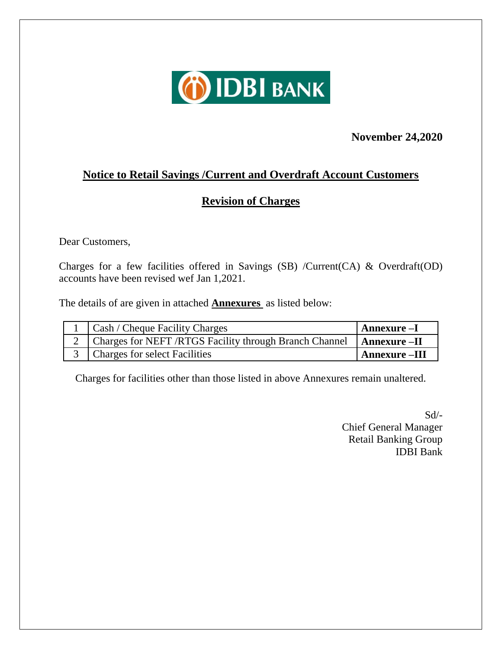

#### **November 24,2020**

### **Notice to Retail Savings /Current and Overdraft Account Customers**

#### **Revision of Charges**

Dear Customers,

Charges for a few facilities offered in Savings (SB) /Current(CA) & Overdraft(OD) accounts have been revised wef Jan 1,2021.

The details of are given in attached **Annexures** as listed below:

| Cash / Cheque Facility Charges                                             | Annexure –I          |
|----------------------------------------------------------------------------|----------------------|
| 2   Charges for NEFT / RTGS Facility through Branch Channel   Annexure -II |                      |
| 3   Charges for select Facilities                                          | <b>Annexure</b> -III |

Charges for facilities other than those listed in above Annexures remain unaltered.

Sd/- Chief General Manager Retail Banking Group IDBI Bank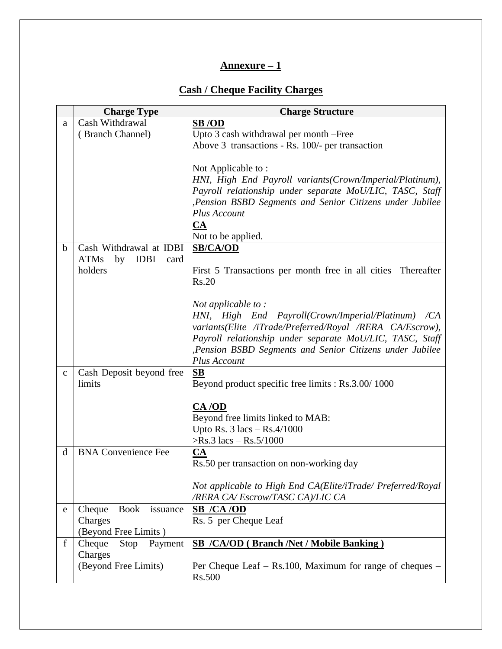#### **Annexure – 1**

#### **Cash / Cheque Facility Charges**

|             | <b>Charge Type</b>                       | <b>Charge Structure</b>                                      |
|-------------|------------------------------------------|--------------------------------------------------------------|
| a           | Cash Withdrawal                          | SB/OD                                                        |
|             | (Branch Channel)                         | Upto 3 cash withdrawal per month -Free                       |
|             |                                          | Above 3 transactions - Rs. 100/- per transaction             |
|             |                                          |                                                              |
|             |                                          | Not Applicable to:                                           |
|             |                                          | HNI, High End Payroll variants (Crown/Imperial/Platinum),    |
|             |                                          | Payroll relationship under separate MoU/LIC, TASC, Staff     |
|             |                                          | , Pension BSBD Segments and Senior Citizens under Jubilee    |
|             |                                          | Plus Account                                                 |
|             |                                          | <b>CA</b>                                                    |
|             |                                          | Not to be applied.                                           |
| $\mathbf b$ | Cash Withdrawal at IDBI                  | <b>SB/CA/OD</b>                                              |
|             | <b>ATMs</b><br>by<br><b>IDBI</b><br>card |                                                              |
|             | holders                                  | First 5 Transactions per month free in all cities Thereafter |
|             |                                          | Rs.20                                                        |
|             |                                          |                                                              |
|             |                                          | Not applicable to:                                           |
|             |                                          | HNI, High End Payroll(Crown/Imperial/Platinum) /CA           |
|             |                                          | variants(Elite /iTrade/Preferred/Royal /RERA CA/Escrow),     |
|             |                                          | Payroll relationship under separate MoU/LIC, TASC, Staff     |
|             |                                          | , Pension BSBD Segments and Senior Citizens under Jubilee    |
|             |                                          | Plus Account                                                 |
| $\mathbf C$ | Cash Deposit beyond free                 | SB                                                           |
|             | limits                                   | Beyond product specific free limits : Rs.3.00/1000           |
|             |                                          |                                                              |
|             |                                          | CA/OD                                                        |
|             |                                          | Beyond free limits linked to MAB:                            |
|             |                                          | Upto Rs. $3 \text{ lacs} - \text{Rs.}4/1000$                 |
|             |                                          | $>$ Rs.3 lacs – Rs.5/1000                                    |
| d           | <b>BNA Convenience Fee</b>               | <b>CA</b>                                                    |
|             |                                          | Rs.50 per transaction on non-working day                     |
|             |                                          |                                                              |
|             |                                          | Not applicable to High End CA(Elite/iTrade/ Preferred/Royal  |
|             |                                          | /RERA CA/Escrow/TASC CA)/LIC CA                              |
| e           | Cheque<br>Book<br>issuance               | <b>SB</b> / <b>CA</b> / <b>OD</b>                            |
|             | Charges                                  | Rs. 5 per Cheque Leaf                                        |
|             | (Beyond Free Limits)                     |                                                              |
| $\mathbf f$ | Cheque<br>Stop<br>Payment                | <b>SB /CA/OD (Branch /Net / Mobile Banking)</b>              |
|             | Charges                                  |                                                              |
|             | (Beyond Free Limits)                     | Per Cheque Leaf $-$ Rs.100, Maximum for range of cheques $-$ |
|             |                                          | Rs.500                                                       |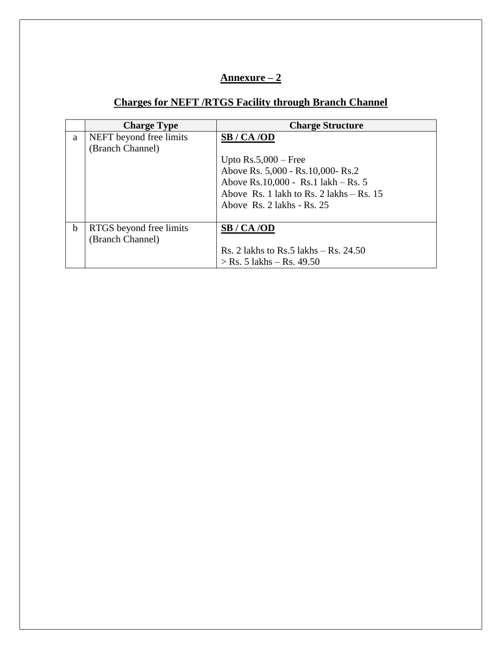#### **Annexure – 2**

# **Charges for NEFT /RTGS Facility through Branch Channel**

|   | <b>Charge Type</b>      | <b>Charge Structure</b>                    |
|---|-------------------------|--------------------------------------------|
| a | NEFT beyond free limits | SB / CA /OD                                |
|   | (Branch Channel)        |                                            |
|   |                         | Upto $Rs.5,000 - Free$                     |
|   |                         | Above Rs. 5,000 - Rs. 10,000- Rs. 2        |
|   |                         | Above Rs.10,000 - Rs.1 lakh – Rs. 5        |
|   |                         | Above Rs. 1 lakh to Rs. 2 lakhs $-$ Rs. 15 |
|   |                         | Above Rs. $2$ lakhs - Rs. $25$             |
|   |                         |                                            |
| b | RTGS beyond free limits | SB / CA /OD                                |
|   | (Branch Channel)        |                                            |
|   |                         | Rs. 2 lakhs to Rs. 5 lakhs $-$ Rs. 24.50   |
|   |                         | $>$ Rs. 5 lakhs – Rs. 49.50                |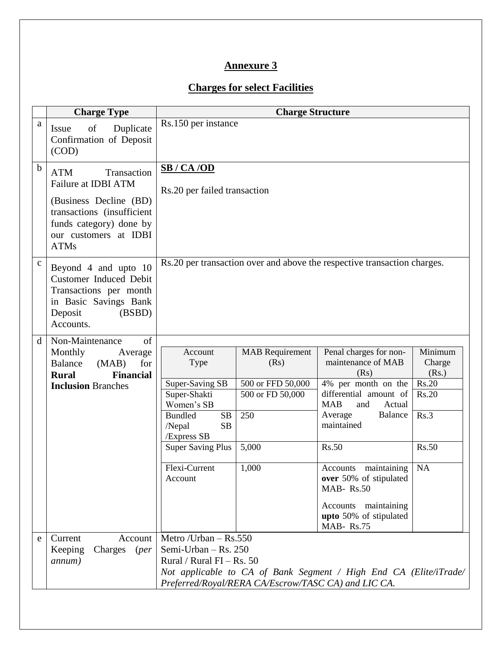# **Annexure 3**

### **Charges for select Facilities**

|              | <b>Charge Type</b>                                                                                                                                                          |                                                                                                                                       | <b>Charge Structure</b>                                                        |                                                                                                                                                                          |                                                      |
|--------------|-----------------------------------------------------------------------------------------------------------------------------------------------------------------------------|---------------------------------------------------------------------------------------------------------------------------------------|--------------------------------------------------------------------------------|--------------------------------------------------------------------------------------------------------------------------------------------------------------------------|------------------------------------------------------|
| a            | Issue<br>of<br>Duplicate<br>Confirmation of Deposit<br>(COD)                                                                                                                | Rs.150 per instance                                                                                                                   |                                                                                |                                                                                                                                                                          |                                                      |
| $\mathbf b$  | Transaction<br><b>ATM</b><br>Failure at IDBI ATM<br>(Business Decline (BD)<br>transactions (insufficient<br>funds category) done by<br>our customers at IDBI<br><b>ATMs</b> | SB / CA / OD<br>Rs.20 per failed transaction                                                                                          |                                                                                |                                                                                                                                                                          |                                                      |
| $\mathbf{C}$ | Beyond 4 and upto 10<br><b>Customer Induced Debit</b><br>Transactions per month<br>in Basic Savings Bank<br>Deposit<br>(BSBD)<br>Accounts.                                  |                                                                                                                                       |                                                                                | Rs.20 per transaction over and above the respective transaction charges.                                                                                                 |                                                      |
| d            | Non-Maintenance<br>of<br>Monthly<br>Average<br><b>Balance</b><br>for<br>(MAB)<br><b>Financial</b><br><b>Rural</b><br><b>Inclusion Branches</b>                              | Account<br>Type<br><b>Super-Saving SB</b><br>Super-Shakti<br>Women's SB<br>SB<br><b>Bundled</b><br>/Nepal<br><b>SB</b><br>/Express SB | <b>MAB</b> Requirement<br>(Rs)<br>500 or FFD 50,000<br>500 or FD 50,000<br>250 | Penal charges for non-<br>maintenance of MAB<br>(Rs)<br>4% per month on the<br>differential amount of<br><b>MAB</b><br>and<br>Actual<br>Average<br>Balance<br>maintained | Minimum<br>Charge<br>(Rs.)<br>Rs.20<br>Rs.20<br>Rs.3 |
|              |                                                                                                                                                                             | <b>Super Saving Plus</b><br>Flexi-Current<br>Account                                                                                  | 5,000<br>1,000                                                                 | <b>Rs.50</b><br>Accounts maintaining<br>over 50% of stipulated<br><b>MAB-Rs.50</b><br>Accounts maintaining<br>upto 50% of stipulated<br>MAB-Rs.75                        | <b>Rs.50</b><br><b>NA</b>                            |
| e            | Current<br>Account<br>Charges<br>Keeping<br>(per<br>annum)                                                                                                                  | Metro /Urban - Rs.550<br>Semi-Urban $-$ Rs. 250<br>Rural / Rural FI – Rs. $50$                                                        | Preferred/Royal/RERA CA/Escrow/TASC CA) and LIC CA.                            | Not applicable to CA of Bank Segment / High End CA (Elite/iTrade/                                                                                                        |                                                      |